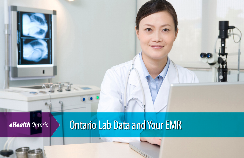

# *eHealth Ontario* Ontario Lab Data and Your EMR

 $\overline{\bullet}$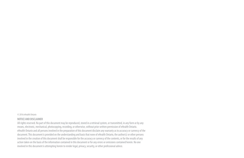#### © 2016 eHealth Ontario

#### **NOTICE AND DISCLAIMER**

All rights reserved. No part of this document may be reproduced, stored in a retrieval system, or transmitted, in any form or by any means, electronic, mechanical, photocopying, recording, or otherwise, without prior written permission of eHealth Ontario. eHealth Ontario and all persons involved in the preparation of this document disclaim any warranty as to accuracy or currency of the document. This document is provided on the understanding and basis that none of eHealth Ontario, the author(s) or other persons involved in the creation of this document shall be responsible for the accuracy or currency of the contents, or for the results of any action taken on the basis of the information contained in this document or for any errors or omissions contained herein. No one involved in this document is attempting herein to render legal, privacy, security, or other professional advice.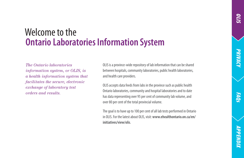# *PRIvacy*

*Faqs*

## **Ontario Laboratories Information System** Welcome to the

*The Ontario laboratories information system, or OLIS, is a health information system that facilitates the secure, electronic exchange of laboratory test orders and results.* 

OLIS is a province-wide repository of lab information that can be shared between hospitals, community laboratories, public health laboratories, and health care providers.

OLIS accepts data feeds from labs in the province such as public health Ontario laboratories, community and hospital laboratories and to date has data representing over 95 per cent of community lab volume, and over 80 per cent of the total provincial volume.

The goal is to have up to 100 per cent of all lab tests performed in Ontario in OLIS. For the latest about OLIS, visit: **www.ehealthontario.on.ca/en/ initiatives/view/olis**.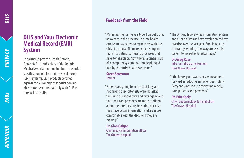#### **OLIS and Your Electronic Medical Record (EMR) System**

In partnership with eHealth Ontario, OntarioMD – a subsidiary of the Ontario Medical Association – maintains a provincial specification for electronic medical record (EMR) systems. EMR products certified against the 4.0 or higher specification are able to connect automatically with OLIS to receive lab results.

#### **Feedback from the Field**

"It's reassuring for me as a type 1 diabetic that anywhere in the province I go, my health care team has access to my records with the click of a mouse. No more extra testing, no more frustrating, confusing processes that have to take place. Now there's a central hub of a computer system that can be plugged into by the entire health care team."

#### **Steve Stresman Patient**

"Patients are going to notice that they are not having duplicate tests or being asked the same questions over and over again, and that their care providers are more confident about the care they are delivering because they have better information and are more comfortable with the decisions they are making."

**Dr. Glen Geiger** Chief medical information officer The Ottawa Hospital

"The Ontario laboratories information system and eHealth Ontario have revolutionized my practice over the last year. And, in fact, I'm constantly learning new ways to use this system to my patients' advantage."

**Dr. Greg Rose** Infectious disease consultant The Ottawa Hospital

"I think everyone wants to see movement forward in reducing inefficiencies in clinic. Everyone wants to use their time wisely, both patients and providers."

#### **Dr. Erin Keely**

Chief, endocrinology & metabolism The Ottawa Hospital

**FAQs**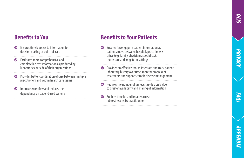# *PRIvacy*

*Faqs*



#### **Benefits to You**

- $\bullet$  Ensures timely access to information for decision making at point-of-care
- **•** Facilitates more comprehensive and complete lab test information as produced by laboratories outside of their organizations
- **•** Provides better coordination of care between multiple practitioners and within health care teams
- **O** Improves workflow and reduces the dependency on paper-based systems

#### **Benefits to Your Patients**

- $\bullet$  Ensures fewer gaps in patient information as patients move between hospital, practitioner's office (e.g. family physicians, specialists), home care and long-term settings
- **•** Provides an effective tool to integrate and track patient laboratory history over time, monitor progress of treatments and support chronic disease management
- Reduces the number of unnecessary lab tests due to greater availability and sharing of information

` Enables timelier and broader access to lab test results by practitioners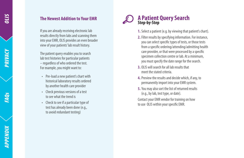# *APPENDIX FAQs Privacy olis*APPENDIX

#### **The Newest Addition to Your EMR**

If you are already receiving electronic lab results directly from labs and scanning them into your EMR, OLIS provides an even broader view of your patients' lab result history.

The patient query enables you to search lab test histories for particular patients – regardless of who ordered the test. For example, you might want to:

- • Pre-load a new patient's chart with historical laboratory results ordered by another health care provider
- • Check previous versions of a test to see what the trend is
- • Check to see if a particular type of test has already been done (e.g., to avoid redundant testing)



- **1.** Select a patient (e.g. by viewing that patient's chart).
- **2.** Filter results by specifying information. For instance, you can select specific types of tests, or those tests from a specific ordering/attending/admitting health care provider, or that were processed by a specific specimen collection centre or lab. At a minimum, you must specify the date range for the search.
- **3.** OLIS will search for all lab results that meet the stated criteria.
- **4.**Preview the results and decide which, if any, to permanently import into your EMR system.
- **5.** You may also sort the list of returned results (e.g., by lab, test type, or date).

Contact your EMR vendor for training on how to use OLIS within your specific EMR.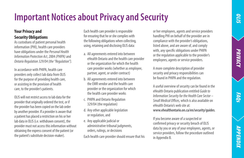# *Faqs*

*appendix*АРРЕNDIX

## **Important Notices about Privacy and Security**

#### **Your Privacy and Security Obligations**

As custodians of patient personal health information (PHI), health care providers have obligations under the *Personal Health Information Protection Act*, 2004 *(PHIPA)* and *Ontario Regulation 329/04 (the "Regulation").*

In accordance with PHIPA, health care providers only collect lab data from OLIS for the purpose of providing health care, or assisting in the provision of health care, to the provider's patients.

OLIS will not restrict access to lab data for the provider that originally ordered the test, or if the provider has been copied on the lab order by another provider. If a provider is aware that a patient has placed a restriction on his or her lab data in OLIS (i.e. withdrawn consent), the provider must not access this information without obtaining the express consent of the patient (or the patient's substitute decision-maker).

Each health care provider is responsible for ensuring that he or she complies with the following obligations when collecting, using, retaining and disclosing OLIS data:

- a. All agreements entered into between eHealth Ontario and the health care provider or the organization for which the health care provider works (whether as employee, partner, agent, or under contract)
- b. All agreements entered into between the EMR vendor and the health care provider or the organization for which the health care provider works
- c. PHIPA and Ontario Regulation 329/04 (the regulation)
- d. Any other applicable legislation or regulation, and
- e. Any applicable judicial or administrative tribunal judgments, orders, rulings, or decisions Each health care provider should ensure that his

or her employees, agents and service providers handling PHI on behalf of the provider are in compliance with the provider's obligations, listed above, and are aware of, and comply with, any specific obligations under PHIPA or the regulation applicable to the provider's employees, agents or service providers.

A more complete description of provider security and privacy responsibilities can be found in PHIPA and the regulation.

A useful overview of security can be found in the eHealth Ontario publication entitled *Guide to Information Security for the Health Care Sector – Small Medical Offices,* which is also available on eHealth Ontario's web site at: **www.ehealthontario.on.ca/en/security/guides**.

If you become aware of a suspected or confirmed privacy or security breach of OLIS data by you or any of your employees, agents, or service providers, follow the procedure outlined in Appendix B.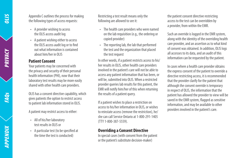PRIVACY

Appendix C outlines the process for making the following types of access requests:

- • A provider wishing to access the OLIS access audit log
- • A patient wishing either to access the OLIS access audit log or to find out what information is contained about him/her in OLIS

#### **Patient Consent**

Your patients may be concerned with the privacy and security of their personal health information (PHI), now that their laboratory test results may be more easily shared with other health care providers.

OLIS has a consent directive capability, which gives patients the option to restrict access to patient lab information stored in OLIS.

A patient may restrict access to either:

- • All of his/her laboratory test results in OLIS or
- • A particular test (to be specified at the time the test is conducted)

Restricting a test result means only the following are allowed to see it:

- • The health care providers who were named on the lab requisition (e.g., the ordering or copied provider)
- • The reporting lab, the lab that performed the test and the organization that placed the test request

In other words, if a patient restricts access to his/ her results in OLIS, other health care providers involved in the patient's care will not be able to access any patient information that has been, or will be, submitted into OLIS. When a restricted provider queries lab results for this patient, the EMR will notify him/her of this when returning the results of a patient query.

If a patient wishes to place a restriction on access to his/her information in OLIS, or wishes to reinstate access (remove the restriction), he/ she can call Service Ontario at 1-800-291-1405 (TTY 1-800-387-5559).

#### **Overriding a Consent Directive**

In special cases (with consent from the patient or the patient's substitute decision-maker)

the patient consent directive restricting access to the test can be overridden by a provider, from within the EMR.

Such an override is logged in the EMR system, along with the identity of the overriding health care provider, and an assertion as to what kind of consent was obtained. In addition, OLIS logs all accesses to its data, and an audit of this information can be requested by the patient.

In cases where a health care provider obtains the express consent of the patient to override a directive restricting access, it is recommended that the provider clarify for the patient that although the consent override is temporary in respect of OLIS, the information that the patient has allowed the provider to view will be saved in the EMR system, flagged as sensitive information, and may be available to other providers involved in the patient's care.

**FAQs**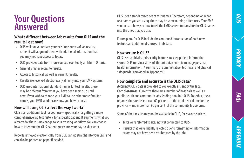## **Your Questions Answered**

#### **What's different between lab results from OLIS and the results I get now?**

- • OLIS will not yet replace your existing sources of lab results; rather it will augment them with additional information that you may not have access to today.
- • OLIS provides data from more sources; eventually all labs in Ontario.
- • Generally faster access to results.
- • Access to historical, as well as current, results.
- Results are received electronically, directly into your EMR system.
- • OLIS uses international standard names for test results; these may be different from what you have been seeing up until now. If you wish to change your EMR to use other more familiar names, your EMR vendor can show you how to do so.

#### **How will using OLIS affect the way I work?**

OLIS is an additional tool for your use – specifically for getting a more comprehensive lab test history for a specific patient. It augments what you already do; there is no change to your existing workflow. You can choose how to integrate the OLIS patient query into your day-to-day work.

Reports retrieved electronically from OLIS can go straight into your EMR and can also be printed on paper if needed.

OLIS uses a standardized set of test names. Therefore, depending on what test names you are using, there may be some naming differences. Your EMR vendor can show you how to tell the EMR system to translate the OLIS names into the ones that you use.

Future plans for OLIS include the continued introduction of both new features and additional sources of lab data.

#### **How secure is OLIS?**

OLIS uses sophisticated security features to keep patient information secure. OLIS runs in a state-of-the-art data centre to manage personal health information. A summary of administrative, technical, and physical safeguards is provided in Appendix D.

#### **How complete and accurate is the OLIS data?**

**Accuracy:** OLIS data is provided to you exactly as sent by the labs. **Completeness:** Currently, there are a number of hospitals as well as public health and community labs feeding data into OLIS. Together, these organizations represent over 60 per cent of the total test volume for the province – and more than 90 per cent of the community lab volume.

Some of their results may not be available in OLIS, for reasons such as:

- • Tests were referred to sites not yet connected to OLIS.
- • Results that were initially rejected due to formatting or information errors may not have been resubmitted by the labs.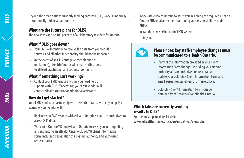**S/10** 

PRIVACY

Beyond the organizations currently feeding data into OLIS, work is underway to continually add new data sources.

#### **What are the future plans for OLIS?**

The goal is to capture 100 per cent of all laboratory test data for Ontario.

#### **What if OLIS goes down?**

- • Your EMR will continue to receive lab data from your regular sources, and all other functionality should not be impacted.
- • In the event of an OLIS outage (either planned or unplanned), eHealth Ontario will email notifications to all lead practitioner and technical contacts.

#### **What if something isn't working?**

• Contact your EMR vendor anytime you need help or support with OLIS. If necessary, your EMR vendor will contact eHealth Ontario for additional assistance.

#### **How do I get started?**

Your EMR vendor, in partnership with eHealth Ontario, will set you up. For example, your vendor will:

- Register your EMR system with eHealth Ontario so you are authorized to access OLIS data.
- Work with OntarioMD and eHealth Ontario to assist you in completing and submitting an eHealth Ontario OLIS-EMR Client Information Form, including designation of a signing authority and authorized representative.
- • Work with eHealth Ontario to assist you in signing the required eHealth Ontario EHR legal agreements outlining your responsibilities under PHIPA.
- • Install the new version of the EMR system.
- Train you.



#### **Please note: key staff/employee changes must be communicated to eHealth Ontario.**

- • If any of the information provided in your Client Information Form changes, including your signing authority and/or authorized representative – update your OLIS-EMR Client Information Form and email **agreements@eHealthOntario.on.ca**.
- • OLIS-EMR Client Information Forms can be obtained from OntarioMD or eHealth Ontario.

#### **Which labs are currently sending results to OLIS?**

For the most up-to-date list visit: **www.ehealthontario.on.ca/en/initiatives/view/olis**.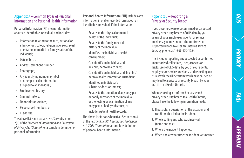*appendix*АРРЕNDIX

#### Appendix A– Common Types of Personal Information and Personal Health Information

**Personal information (PI)** means information about an identifiable individual, and includes:

- • Information relating to the race, national or ethnic origin, colour, religion, age, sex, sexual orientation or marital or family status of the individual;
- Date of birth:
- • Address, telephone number;
- • Photograph;
- • Any identifying number, symbol or other particular information assigned to an individual;
- Employment history;
- Criminal history:
- **Financial transactions:**
- • Personal cell numbers, or
- • IP address.

The above list is not exhaustive. See subsection 2(1) of the *Freedom of Information and Protection of Privacy Act (Ontario)* for a complete definition of personal information.

**Personal health information (PHI)** includes any information in oral or recorded form about an identifiable individual, if the information:

- • Relates to the physical or mental health of the individual;
- • Relates to the family medical history of the individual;
- • Identifies the individual's health card number;
- • Can identify an individual and link him/her to health care;
- • Can identify an individual and link him/ her to a health information custodian;
- • Identifies an individual's substitute decision-maker;
- • Relates to the donation of any body part or bodily substance of the individual or the testing or examination of any body part or bodily substance; or
- Includes patient health records.

The above list is not exhaustive. See section 4 of the *Personal Health Information Protection Act, 2004 (Ontario)* for a complete definition of personal health information.

#### Appendix B – Reporting a Privacy or Security Breach

If you become aware of a confirmed or suspected privacy or security breach of OLIS data by you or any of your employees, agents, or service providers, you must report the confirmed or suspected breach to eHealth Ontario's service desk, by phone, at 1-866-250-1554.

This includes reporting any suspected or confirmed unauthorized collections, uses, accesses or disclosures of OLIS data, by you or your agents, employees or service providers, and reporting any issues with the OLIS system which have caused or may lead to a privacy or security breach by your practice or eHealth Ontario.

When reporting a confirmed or suspected privacy or security breach to eHealth Ontario, please have the following information ready:

- 1. If possible, a description of the situation and condition that led to the incident.
- 2. Who is calling and who was involved (name and role).
- 3. Where the incident happened.
- 4. When and at what time the incident was noticed.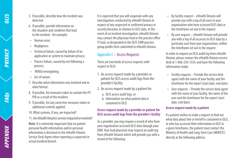- 5. If possible, describe how the incident was detected.
- 6. If possible, provide information on the situation and condition that lead to the incident - for example:
- Human error:
- Negligence;
- • Technical failure, caused by failure of an application or system to maintain privacy;
- • Process failure, caused by not following a process;
- Willful wrongdoing;
- • Act of nature.
- 7. Describe what information was involved and in what format.
- 8. If possible, list measures taken to contain the PI/ PHI as a result of the incident.
- 9. If possible, list any corrective measures taken or additional controls applied.
- 10.What systems, if any, are impacted?
- 11. Are eHealth Ontario's services impacted or involved?

**Note:** It is extremely important that no patient personal health information and/or personal information is disclosed to the eHealth Ontario Service Desk Agent when reporting a suspected or actual incident/breach.

It is expected that you will cooperate with any investigations conducted by eHealth Ontario in respect of any suspected or confirmed privacy or security breaches in relation to OLIS data. In the event of an incident investigation, eHealth Ontario may contact the physician lead or the practice office IT lead, as designated in the OLIS-EMR practice group profile form submitted to eHealth Ontario.

#### Appendix C – Access Requests

There are two kinds of access requests with respect to OLIS:

- 1. An access request made by a provider or patient for OLIS access audit logs from the provider's facility.
- 2. An access request made by a patient for:
	- a. OLIS access audit logs, or
	- b. Information on what patient data is contained in OLIS.

#### **Access request made by a provider or patient for OLIS access audit logs from the provider's facility**

As a provider, you may require a record of who from your organization accessed OLIS data through your EMR. Your lead physician may request an audit log from eHealth Ontario which will provide you with a record of the following:

- • By facility request eHealth Ontario will provide you with a log of all users in your organization who have accessed OLIS data in the timeframe set out in the request.
- By user request  $-$  eHealth Ontario will provide you with a log of all accesses to OLIS data by a particular user from your organization, within the timeframe set out in the request.

In order to request an OLIS audit log from eHealth Ontario, please contact the eHealth Ontario service desk at 1-866-250-1554, and have the following information ready:

- • Facility requests Provide the service desk agent with the name of your facility and the timeframe for the report (start date, end date).
- • User requests Provide the service desk agent with the name of your facility, the name of the user and the timeframe for the report (start date, end date).

#### **Access request made by a patient**

If a patient wishes to make a request to find out what data about him or herself is contained in OLIS. or who has accessed their information in OLIS in a given timeframe, the patient must contact the Ministry of Health and Long-Term Care (MOHLTC) directly at the following address: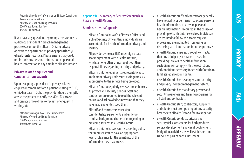*PRIvacy*

*Faqs*



Attention: Freedom of Information and Privacy Coordinator Access and Privacy Office Ministry of Health and Long-Term Care 5700 Yonge Street, 6th Floor Toronto ON, M2M 4K5

If you have any questions regarding access requests, audit logs or incident / breach management processes, contact the eHealth Ontario privacy operations department, at **privacyoperations@ ehealthontario.on.ca**. Please ensure that you do not include any personal information or personal health information in any emails to eHealth Ontario.

#### **Privacy-related enquiries and complaints from patients**

Upon receipt by a provider of a privacy-related enquiry or complaint from a patient relating to OLIS, or his/her data in OLIS, the provider should promptly advise the patient to notify the MOHLTC's access and privacy office of the complaint or enquiry, in writing, at:

Attention: Manager, Access and Privacy Office Ministry of Health and Long-Term Care 5700 Yonge Street, 5th Floor Toronto, ON M2M 4K5

#### Appendix D – Summary of Security Safeguards in Place at eHealth Ontario

#### **Administrative safeguards**

- • eHealth Ontario has a Chief Privacy Officer and a Chief Security Officer; these individuals are accountable for health information privacy and security.
- • All providers who use OLIS must sign a data access agreement with eHealth Ontario, which, among other things, spells out their responsibilities regarding security and privacy.
- • eHealth Ontario requires its representatives to implement privacy and security safeguards, as appropriate, to the service being provided.
- eHealth Ontario regularly reviews and enhances its privacy and security policies. Staff and contractors are required to read the relevant policies and acknowledge in writing that they have read and understood them.
- All staff and contractors must sign confidentiality agreements and undergo criminal background checks prior to joining or providing services to eHealth Ontario.
- eHealth Ontario has a security screening policy that requires staff to have an appropriate level of clearance for the sensitivity of the information they may access.
- • eHealth Ontario staff and contractors generally have no ability or permission to access personal health information. If access to personal health information is required in the course of providing eHealth Ontario services, individuals are required to follow the access request process and are prohibited from using or disclosing such information for other purposes.
- eHealth Ontario ensures, through contracts, that any third party it retains to assist in providing services to health information custodians will comply with the restrictions and conditions necessary for eHealth Ontario to fulfill its legal responsibilities.
- • eHealth Ontario has developed a full security and privacy incident management system.
- • eHealth Ontario has mandatory privacy and security awareness and training programs for all staff and contractors.
- • eHealth Ontario staff, contractors, suppliers and clients must promptly report any security breaches to eHealth Ontario for investigation.
- • eHealth Ontario conducts privacy and security risk assessments for both product/ service development and client deployments. Mitigation activities are well established and tracked as part of each assessment.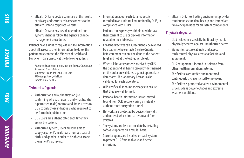**PRIVACY** 

*APPENDIX FAQs Privacy olis*APPENDIX

- • eHealth Ontario posts a summary of the results of privacy and security risk assessments to the eHealth Ontario corporate website.
- • eHealth Ontario ensures all operational and systems changes follow the agency's change management procedures.

Patients have a right to request and see information about all access to their information. To do so, the patient must contact the Ministry of Health and Long-Term Care directly at the following address:

Attention: Freedom of Information and Privacy Coordinator Access and Privacy Office Ministry of Health and Long-Term Care 5700 Yonge Street, 6th Floor Toronto, ON M2M 4K5

#### **Technical safeguards**

- • Authorization and authentication (i.e., confirming who each user is, and what he/ she is permitted to do) controls and limits access to OLIS to only those individuals who require it to perform their job function.
- OLIS users are authenticated each time they access the system.
- • Authorized systems/users must be able to supply a patient's health card number, date of birth, and gender in order to be able to access the patient's lab records.
- Information about each data request is recorded in an audit trail maintained by OLIS, in compliance with PHIPA.
- • Patients can expressly withhold or withdraw their consent to use or disclose information related to their lab tests.
- Consent directives can subsequently be revoked by a patient who contacts Service Ontario. Reinstatement can only be done at the patient level and not at the test request level.
- • When a laboratory order is received by OLIS, the patient and all health care providers named on the order are validated against appropriate data stores. The laboratory license is also validated for each laboratory.
- • OLIS verifies all inbound messages to ensure that they are well formed.
- **Personal health information is transmitted** to and from OLIS securely using a mutually authenticated encryption tunnel.
- • Networks are protected by devices (firewalls and routers) which limit access to and from systems.
- • The systems are kept up-to-date by installing software updates on a regular basis.
- • Security agents are installed on each system to protect OLIS from malware and detect intrusions.

• eHealth Ontario's hosting environment provides continuous secure data backup and immediate failover capabilities for all system components.

#### **Physical safeguards**

- • OLIS resides in a specially-built facility that is physically secured against unauthorized access.
- Biometrics, secure cabinets and access cards control physical access to facilities and equipment.
- • OLIS equipment is located in isolation from other health information systems.
- The facilities are staffed and monitored continuously by security staff/employees.
- • The facility is protected against environmental issues such as power outages and extreme weather conditions.